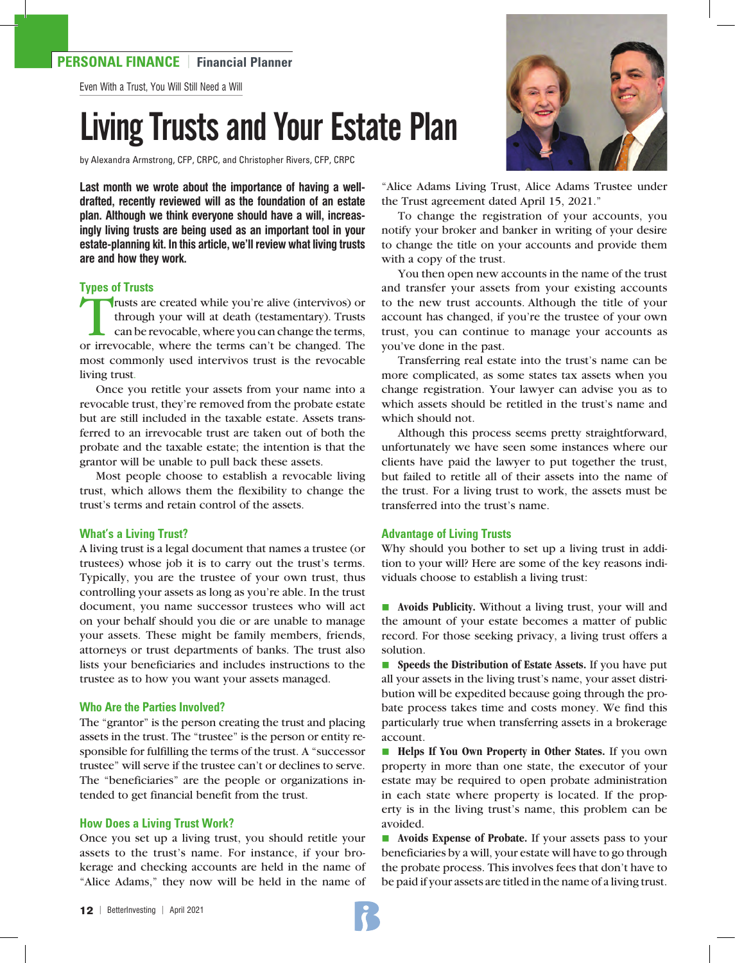#### **PERSONAL FINANCE** | **Financial Planner**

Even With a Trust, You Will Still Need a Will

# Living Trusts and Your Estate Plan

by Alexandra Armstrong, CFP, CRPC, and Christopher Rivers, CFP, CRPC

**Last month we wrote about the importance of having a welldrafted, recently reviewed will as the foundation of an estate plan. Although we think everyone should have a will, increasingly living trusts are being used as an important tool in your estate-planning kit. In this article, we'll review what living trusts are and how they work.**

#### **Types of Trusts**

Trusts are created while you're alive (intervivos) or through your will at death (testamentary). Trusts  $\Box$  can be revocable, where you can change the terms, or irrevocable, where the terms can't be changed. The most commonly used intervivos trust is the revocable living trust.

Once you retitle your assets from your name into a revocable trust, they're removed from the probate estate but are still included in the taxable estate. Assets transferred to an irrevocable trust are taken out of both the probate and the taxable estate; the intention is that the grantor will be unable to pull back these assets.

Most people choose to establish a revocable living trust, which allows them the flexibility to change the trust's terms and retain control of the assets.

#### **What's a Living Trust?**

A living trust is a legal document that names a trustee (or trustees) whose job it is to carry out the trust's terms. Typically, you are the trustee of your own trust, thus controlling your assets as long as you're able. In the trust document, you name successor trustees who will act on your behalf should you die or are unable to manage your assets. These might be family members, friends, attorneys or trust departments of banks. The trust also lists your beneficiaries and includes instructions to the trustee as to how you want your assets managed.

#### **Who Are the Parties Involved?**

The "grantor" is the person creating the trust and placing assets in the trust. The "trustee" is the person or entity responsible for fulfilling the terms of the trust. A "successor trustee" will serve if the trustee can't or declines to serve. The "beneficiaries" are the people or organizations intended to get financial benefit from the trust.

#### **How Does a Living Trust Work?**

Once you set up a living trust, you should retitle your assets to the trust's name. For instance, if your brokerage and checking accounts are held in the name of "Alice Adams," they now will be held in the name of



"Alice Adams Living Trust, Alice Adams Trustee under the Trust agreement dated April 15, 2021."

To change the registration of your accounts, you notify your broker and banker in writing of your desire to change the title on your accounts and provide them with a copy of the trust.

You then open new accounts in the name of the trust and transfer your assets from your existing accounts to the new trust accounts. Although the title of your account has changed, if you're the trustee of your own trust, you can continue to manage your accounts as you've done in the past.

Transferring real estate into the trust's name can be more complicated, as some states tax assets when you change registration. Your lawyer can advise you as to which assets should be retitled in the trust's name and which should not.

Although this process seems pretty straightforward, unfortunately we have seen some instances where our clients have paid the lawyer to put together the trust, but failed to retitle all of their assets into the name of the trust. For a living trust to work, the assets must be transferred into the trust's name.

#### **Advantage of Living Trusts**

Why should you bother to set up a living trust in addition to your will? Here are some of the key reasons individuals choose to establish a living trust:

**n Avoids Publicity.** Without a living trust, your will and the amount of your estate becomes a matter of public record. For those seeking privacy, a living trust offers a solution.

**n** Speeds the Distribution of Estate Assets. If you have put all your assets in the living trust's name, your asset distribution will be expedited because going through the probate process takes time and costs money. We find this particularly true when transferring assets in a brokerage account.

**Helps If You Own Property in Other States.** If you own property in more than one state, the executor of your estate may be required to open probate administration in each state where property is located. If the property is in the living trust's name, this problem can be avoided.

**n** Avoids Expense of Probate. If your assets pass to your beneficiaries by a will, your estate will have to go through the probate process. This involves fees that don't have to be paid if your assets are titled in the name of a living trust.